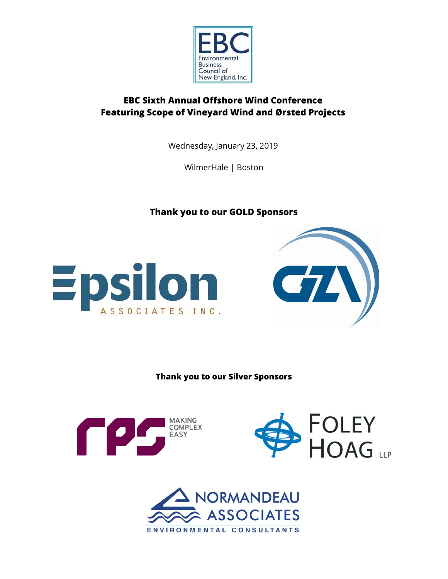

# **EBC Sixth Annual Offshore Wind Conference Featuring Scope of Vineyard Wind and Ørsted Projects**

Wednesday, January 23, 2019

WilmerHale | Boston

**Thank you to our GOLD Sponsors**





**Thank you to our Silver Sponsors**





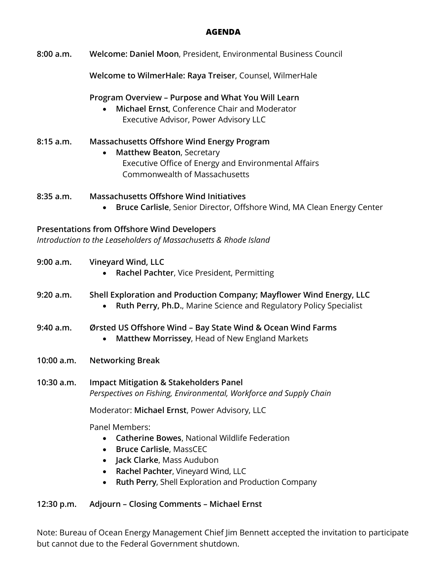# **AGENDA**

**Welcome to WilmerHale: Raya Treiser**, Counsel, WilmerHale

**Program Overview – Purpose and What You Will Learn**

 **Michael Ernst**, Conference Chair and Moderator Executive Advisor, Power Advisory LLC

# **8:15 a.m. Massachusetts Offshore Wind Energy Program**

 **Matthew Beaton**, Secretary Executive Office of Energy and Environmental Affairs Commonwealth of Massachusetts

# **8:35 a.m. Massachusetts Offshore Wind Initiatives**

**Bruce Carlisle**, Senior Director, Offshore Wind, MA Clean Energy Center

# **Presentations from Offshore Wind Developers**

*Introduction to the Leaseholders of Massachusetts & Rhode Island*

| 9:00 a.m.    | Vineyard Wind, LLC<br>Rachel Pachter, Vice President, Permitting<br>$\bullet$                                                                           |
|--------------|---------------------------------------------------------------------------------------------------------------------------------------------------------|
| 9:20 a.m.    | Shell Exploration and Production Company; Mayflower Wind Energy, LLC<br>Ruth Perry, Ph.D., Marine Science and Regulatory Policy Specialist<br>$\bullet$ |
| 9:40 a.m.    | Ørsted US Offshore Wind – Bay State Wind & Ocean Wind Farms<br>Matthew Morrissey, Head of New England Markets                                           |
| 10:00 a.m.   | <b>Networking Break</b>                                                                                                                                 |
| $10:30$ a.m. | <b>Impact Mitigation &amp; Stakeholders Panel</b><br>Perspectives on Fishing, Environmental, Workforce and Supply Chain                                 |
|              | Moderator: Michael Ernst, Power Advisory, LLC                                                                                                           |
|              | <b>Panel Members:</b>                                                                                                                                   |

- **Catherine Bowes**, National Wildlife Federation
- **Bruce Carlisle**, MassCEC
- **Jack Clarke**, Mass Audubon
- **Rachel Pachter**, Vineyard Wind, LLC
- **Ruth Perry**, Shell Exploration and Production Company

# **12:30 p.m. Adjourn – Closing Comments – Michael Ernst**

Note: Bureau of Ocean Energy Management Chief Jim Bennett accepted the invitation to participate but cannot due to the Federal Government shutdown.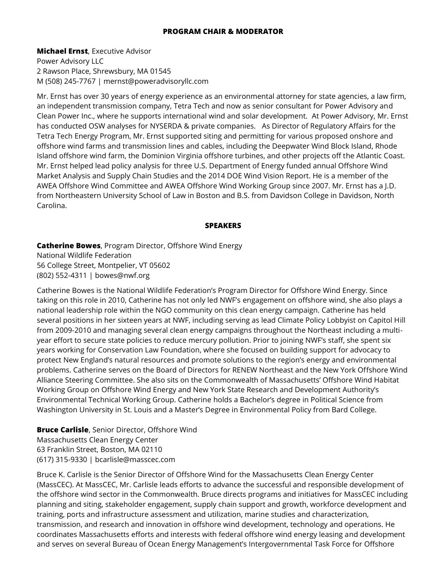#### **PROGRAM CHAIR & MODERATOR**

**Michael Ernst**, Executive Advisor Power Advisory LLC 2 Rawson Place, Shrewsbury, MA 01545 M (508) 245-7767 | mernst@poweradvisoryllc.com

Mr. Ernst has over 30 years of energy experience as an environmental attorney for state agencies, a law firm, an independent transmission company, Tetra Tech and now as senior consultant for Power Advisory and Clean Power Inc., where he supports international wind and solar development. At Power Advisory, Mr. Ernst has conducted OSW analyses for NYSERDA & private companies. As Director of Regulatory Affairs for the Tetra Tech Energy Program, Mr. Ernst supported siting and permitting for various proposed onshore and offshore wind farms and transmission lines and cables, including the Deepwater Wind Block Island, Rhode Island offshore wind farm, the Dominion Virginia offshore turbines, and other projects off the Atlantic Coast. Mr. Ernst helped lead policy analysis for three U.S. Department of Energy funded annual Offshore Wind Market Analysis and Supply Chain Studies and the 2014 DOE Wind Vision Report. He is a member of the AWEA Offshore Wind Committee and AWEA Offshore Wind Working Group since 2007. Mr. Ernst has a J.D. from Northeastern University School of Law in Boston and B.S. from Davidson College in Davidson, North Carolina.

#### **SPEAKERS**

**Catherine Bowes**, Program Director, Offshore Wind Energy National Wildlife Federation 56 College Street, Montpelier, VT 05602 (802) 552-4311 | bowes@nwf.org

Catherine Bowes is the National Wildlife Federation's Program Director for Offshore Wind Energy. Since taking on this role in 2010, Catherine has not only led NWF's engagement on offshore wind, she also plays a national leadership role within the NGO community on this clean energy campaign. Catherine has held several positions in her sixteen years at NWF, including serving as lead Climate Policy Lobbyist on Capitol Hill from 2009-2010 and managing several clean energy campaigns throughout the Northeast including a multiyear effort to secure state policies to reduce mercury pollution. Prior to joining NWF's staff, she spent six years working for Conservation Law Foundation, where she focused on building support for advocacy to protect New England's natural resources and promote solutions to the region's energy and environmental problems. Catherine serves on the Board of Directors for RENEW Northeast and the New York Offshore Wind Alliance Steering Committee. She also sits on the Commonwealth of Massachusetts' Offshore Wind Habitat Working Group on Offshore Wind Energy and New York State Research and Development Authority's Environmental Technical Working Group. Catherine holds a Bachelor's degree in Political Science from Washington University in St. Louis and a Master's Degree in Environmental Policy from Bard College.

**Bruce Carlisle**, Senior Director, Offshore Wind Massachusetts Clean Energy Center 63 Franklin Street, Boston, MA 02110 (617) 315-9330 | bcarlisle@masscec.com

Bruce K. Carlisle is the Senior Director of Offshore Wind for the Massachusetts Clean Energy Center (MassCEC). At MassCEC, Mr. Carlisle leads efforts to advance the successful and responsible development of the offshore wind sector in the Commonwealth. Bruce directs programs and initiatives for MassCEC including planning and siting, stakeholder engagement, supply chain support and growth, workforce development and training, ports and infrastructure assessment and utilization, marine studies and characterization, transmission, and research and innovation in offshore wind development, technology and operations. He coordinates Massachusetts efforts and interests with federal offshore wind energy leasing and development and serves on several Bureau of Ocean Energy Management's Intergovernmental Task Force for Offshore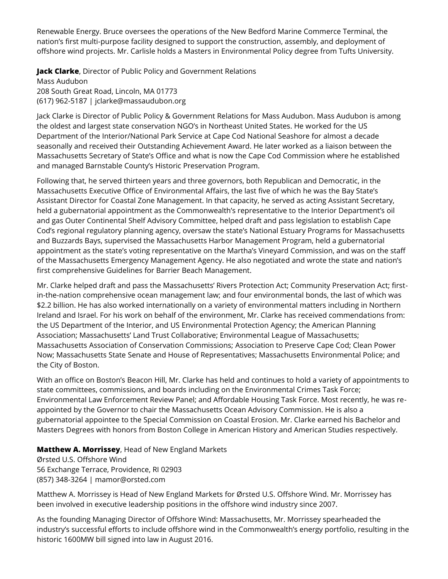Renewable Energy. Bruce oversees the operations of the New Bedford Marine Commerce Terminal, the nation's first multi-purpose facility designed to support the construction, assembly, and deployment of offshore wind projects. Mr. Carlisle holds a Masters in Environmental Policy degree from Tufts University.

**Jack Clarke**, Director of Public Policy and Government Relations

Mass Audubon 208 South Great Road, Lincoln, MA 01773 (617) 962-5187 | jclarke@massaudubon.org

Jack Clarke is Director of Public Policy & Government Relations for Mass Audubon. Mass Audubon is among the oldest and largest state conservation NGO's in Northeast United States. He worked for the US Department of the Interior/National Park Service at Cape Cod National Seashore for almost a decade seasonally and received their Outstanding Achievement Award. He later worked as a liaison between the Massachusetts Secretary of State's Office and what is now the Cape Cod Commission where he established and managed Barnstable County's Historic Preservation Program.

Following that, he served thirteen years and three governors, both Republican and Democratic, in the Massachusetts Executive Office of Environmental Affairs, the last five of which he was the Bay State's Assistant Director for Coastal Zone Management. In that capacity, he served as acting Assistant Secretary, held a gubernatorial appointment as the Commonwealth's representative to the Interior Department's oil and gas Outer Continental Shelf Advisory Committee, helped draft and pass legislation to establish Cape Cod's regional regulatory planning agency, oversaw the state's National Estuary Programs for Massachusetts and Buzzards Bays, supervised the Massachusetts Harbor Management Program, held a gubernatorial appointment as the state's voting representative on the Martha's Vineyard Commission, and was on the staff of the Massachusetts Emergency Management Agency. He also negotiated and wrote the state and nation's first comprehensive Guidelines for Barrier Beach Management.

Mr. Clarke helped draft and pass the Massachusetts' Rivers Protection Act; Community Preservation Act; firstin-the-nation comprehensive ocean management law; and four environmental bonds, the last of which was \$2.2 billion. He has also worked internationally on a variety of environmental matters including in Northern Ireland and Israel. For his work on behalf of the environment, Mr. Clarke has received commendations from: the US Department of the Interior, and US Environmental Protection Agency; the American Planning Association; Massachusetts' Land Trust Collaborative; Environmental League of Massachusetts; Massachusetts Association of Conservation Commissions; Association to Preserve Cape Cod; Clean Power Now; Massachusetts State Senate and House of Representatives; Massachusetts Environmental Police; and the City of Boston.

With an office on Boston's Beacon Hill, Mr. Clarke has held and continues to hold a variety of appointments to state committees, commissions, and boards including on the Environmental Crimes Task Force; Environmental Law Enforcement Review Panel; and Affordable Housing Task Force. Most recently, he was reappointed by the Governor to chair the Massachusetts Ocean Advisory Commission. He is also a gubernatorial appointee to the Special Commission on Coastal Erosion. Mr. Clarke earned his Bachelor and Masters Degrees with honors from Boston College in American History and American Studies respectively.

# **Matthew A. Morrissey**, Head of New England Markets

Ørsted U.S. Offshore Wind 56 Exchange Terrace, Providence, RI 02903 (857) 348-3264 | mamor@orsted.com

Matthew A. Morrissey is Head of New England Markets for Ørsted U.S. Offshore Wind. Mr. Morrissey has been involved in executive leadership positions in the offshore wind industry since 2007.

As the founding Managing Director of Offshore Wind: Massachusetts, Mr. Morrissey spearheaded the industry's successful efforts to include offshore wind in the Commonwealth's energy portfolio, resulting in the historic 1600MW bill signed into law in August 2016.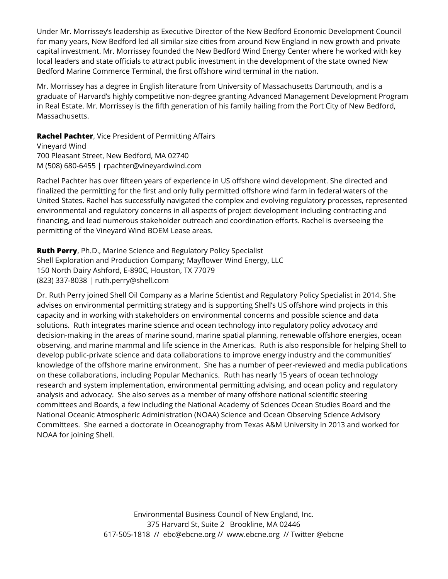Under Mr. Morrissey's leadership as Executive Director of the New Bedford Economic Development Council for many years, New Bedford led all similar size cities from around New England in new growth and private capital investment. Mr. Morrissey founded the New Bedford Wind Energy Center where he worked with key local leaders and state officials to attract public investment in the development of the state owned New Bedford Marine Commerce Terminal, the first offshore wind terminal in the nation.

Mr. Morrissey has a degree in English literature from University of Massachusetts Dartmouth, and is a graduate of Harvard's highly competitive non-degree granting Advanced Management Development Program in Real Estate. Mr. Morrissey is the fifth generation of his family hailing from the Port City of New Bedford, Massachusetts.

**Rachel Pachter**, Vice President of Permitting Affairs Vineyard Wind 700 Pleasant Street, New Bedford, MA 02740 M (508) 680-6455 | rpachter@vineyardwind.com

Rachel Pachter has over fifteen years of experience in US offshore wind development. She directed and finalized the permitting for the first and only fully permitted offshore wind farm in federal waters of the United States. Rachel has successfully navigated the complex and evolving regulatory processes, represented environmental and regulatory concerns in all aspects of project development including contracting and financing, and lead numerous stakeholder outreach and coordination efforts. Rachel is overseeing the permitting of the Vineyard Wind BOEM Lease areas.

**Ruth Perry**, Ph.D., Marine Science and Regulatory Policy Specialist Shell Exploration and Production Company; Mayflower Wind Energy, LLC 150 North Dairy Ashford, E-890C, Houston, TX 77079 (823) 337-8038 | ruth.perry@shell.com

Dr. Ruth Perry joined Shell Oil Company as a Marine Scientist and Regulatory Policy Specialist in 2014. She advises on environmental permitting strategy and is supporting Shell's US offshore wind projects in this capacity and in working with stakeholders on environmental concerns and possible science and data solutions. Ruth integrates marine science and ocean technology into regulatory policy advocacy and decision-making in the areas of marine sound, marine spatial planning, renewable offshore energies, ocean observing, and marine mammal and life science in the Americas. Ruth is also responsible for helping Shell to develop public-private science and data collaborations to improve energy industry and the communities' knowledge of the offshore marine environment. She has a number of peer-reviewed and media publications on these collaborations, including Popular Mechanics. Ruth has nearly 15 years of ocean technology research and system implementation, environmental permitting advising, and ocean policy and regulatory analysis and advocacy. She also serves as a member of many offshore national scientific steering committees and Boards, a few including the National Academy of Sciences Ocean Studies Board and the National Oceanic Atmospheric Administration (NOAA) Science and Ocean Observing Science Advisory Committees. She earned a doctorate in Oceanography from Texas A&M University in 2013 and worked for NOAA for joining Shell.

> Environmental Business Council of New England, Inc. 375 Harvard St, Suite 2 Brookline, MA 02446 617-505-1818 // ebc@ebcne.org // www.ebcne.org // Twitter @ebcne